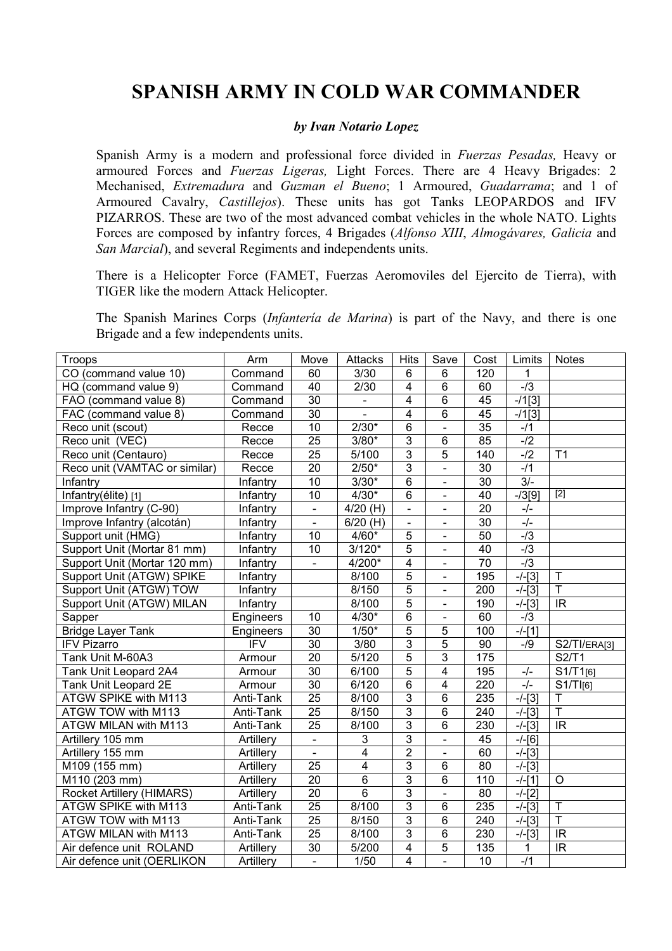## SPANISH ARMY IN COLD WAR COMMANDER

## by Ivan Notario Lopez

Spanish Army is a modern and professional force divided in Fuerzas Pesadas, Heavy or armoured Forces and *Fuerzas Ligeras*, Light Forces. There are 4 Heavy Brigades: 2 Mechanised, Extremadura and Guzman el Bueno; 1 Armoured, Guadarrama; and 1 of Armoured Cavalry, Castillejos). These units has got Tanks LEOPARDOS and IFV PIZARROS. These are two of the most advanced combat vehicles in the whole NATO. Lights Forces are composed by infantry forces, 4 Brigades (Alfonso XIII, Almogávares, Galicia and San Marcial), and several Regiments and independents units.

There is a Helicopter Force (FAMET, Fuerzas Aeromoviles del Ejercito de Tierra), with TIGER like the modern Attack Helicopter.

The Spanish Marines Corps (Infantería de Marina) is part of the Navy, and there is one Brigade and a few independents units.

| Troops                        | Arm                     | Move            | <b>Attacks</b>        | Hits                    | Save                     | Cost            | Limits    | <b>Notes</b>             |
|-------------------------------|-------------------------|-----------------|-----------------------|-------------------------|--------------------------|-----------------|-----------|--------------------------|
| CO (command value 10)         | Command                 | 60              | 3/30                  | 6                       | 6                        | 120             | 1         |                          |
| HQ (command value 9)          | Command                 | 40              | 2/30                  | $\overline{4}$          | $\overline{6}$           | 60              | $-13$     |                          |
| FAO (command value 8)         | Command                 | $\overline{30}$ | $\blacksquare$        | $\overline{4}$          | $\overline{6}$           | 45              | $-11[3]$  |                          |
| FAC (command value 8)         | Command                 | $\overline{30}$ |                       | $\overline{4}$          | $\overline{6}$           | 45              | $-11[3]$  |                          |
| Reco unit (scout)             | Recce                   | $\overline{10}$ | $2/30*$               | $\overline{6}$          | $\blacksquare$           | $\overline{35}$ | $-11$     |                          |
| Reco unit (VEC)               | Recce                   | $\overline{25}$ | $3/80*$               | $\overline{3}$          | $\overline{6}$           | 85              | $-12$     |                          |
| Reco unit (Centauro)          | Recce                   | $\overline{25}$ | 5/100                 | $\overline{3}$          | $\overline{5}$           | 140             | $-l2$     | $\overline{11}$          |
| Reco unit (VAMTAC or similar) | Recce                   | $\overline{20}$ | $2/50*$               | $\overline{3}$          | $\overline{a}$           | 30              | $-11$     |                          |
| Infantry                      | Infantry                | $\overline{10}$ | $3/30*$               | 6                       | $\blacksquare$           | 30              | $3/-$     |                          |
| Infantry(élite) [1]           | Infantry                | $\overline{10}$ | $4/30*$               | 6                       | $\blacksquare$           | 40              | $-73[9]$  | $\boxed{2}$              |
| Improve Infantry (C-90)       | Infantry                | $\overline{a}$  | $4/20$ (H)            | Ξ                       | $\blacksquare$           | $\overline{20}$ | $-/-$     |                          |
| Improve Infantry (alcotán)    | Infantry                | $\frac{1}{2}$   | $\overline{6}/20$ (H) | L,                      | $\blacksquare$           | $\overline{30}$ | $-/-$     |                          |
| Support unit (HMG)            | Infantry                | 10              | $4/60*$               | 5                       | $\blacksquare$           | 50              | $-13$     |                          |
| Support Unit (Mortar 81 mm)   | Infantry                | 10              | $3/120*$              | 5                       | $\blacksquare$           | 40              | $-13$     |                          |
| Support Unit (Mortar 120 mm)  | Infantry                | $\blacksquare$  | 4/200*                | $\overline{4}$          | $\overline{\phantom{a}}$ | $\overline{70}$ | $-13$     |                          |
| Support Unit (ATGW) SPIKE     | Infantry                |                 | 8/100                 | $\overline{5}$          | $\blacksquare$           | 195             | $-/-[3]$  | $\mathsf T$              |
| Support Unit (ATGW) TOW       | <b>Infantry</b>         |                 | 8/150                 | $\overline{5}$          | $\blacksquare$           | 200             | $-/-[3]$  | Ŧ                        |
| Support Unit (ATGW) MILAN     | Infantry                |                 | 8/100                 | 5                       | $\blacksquare$           | 190             | $-/-$ [3] | IR.                      |
| Sapper                        | Engineers               | 10              | $4/30*$               | 6                       | $\overline{\phantom{a}}$ | 60              | $-13$     |                          |
| <b>Bridge Layer Tank</b>      | Engineers               | $\overline{30}$ | $1/50*$               | 5                       | 5                        | 100             | $-/-$ [1] |                          |
| <b>IFV Pizarro</b>            | $\overline{\text{IFV}}$ | $\overline{30}$ | 3/80                  | $\overline{3}$          | $\overline{5}$           | $\overline{90}$ | $-19$     | S2/TI/ERA[3]             |
| Tank Unit M-60A3              | Armour                  | $\overline{20}$ | 5/120                 | 5                       | 3                        | 175             |           | <b>S2/T1</b>             |
| Tank Unit Leopard 2A4         | Armour                  | $\overline{30}$ | 6/100                 | $\overline{5}$          | 4                        | 195             | $-/-$     | S1/T1[6]                 |
| Tank Unit Leopard 2E          | Armour                  | $\overline{30}$ | 6/120                 | $\overline{6}$          | $\overline{4}$           | 220             | $-/-$     | $S1/T$ $[6]$             |
| <b>ATGW SPIKE with M113</b>   | Anti-Tank               | $\overline{25}$ | 8/100                 | $\overline{3}$          | $\overline{6}$           | 235             | $-/-$ [3] | $\overline{\mathsf{T}}$  |
| ATGW TOW with M113            | Anti-Tank               | $\overline{25}$ | 8/150                 | $\overline{3}$          | $\overline{6}$           | 240             | $-/-$ [3] | $\overline{\mathsf{T}}$  |
| <b>ATGW MILAN with M113</b>   | Anti-Tank               | $\overline{25}$ | 8/100                 | $\overline{3}$          | 6                        | 230             | $-/-$ [3] | $\overline{\mathsf{IR}}$ |
| Artillery 105 mm              | Artillery               | $\blacksquare$  | 3                     | $\overline{3}$          | $\blacksquare$           | 45              | $-/-$ [6] |                          |
| Artillery 155 mm              | Artillery               |                 | $\overline{4}$        | $\overline{2}$          | $\blacksquare$           | 60              | $-/-$ [3] |                          |
| M109 (155 mm)                 | Artillery               | $\overline{25}$ | 4                     | $\overline{3}$          | $\overline{6}$           | $\overline{80}$ | $-/-$ [3] |                          |
| M110 (203 mm)                 | Artillery               | $\overline{20}$ | 6                     | $\overline{3}$          | 6                        | 110             | $-/-$ [1] | $\circ$                  |
| Rocket Artillery (HIMARS)     | Artillery               | $\overline{20}$ | 6                     | 3                       | $\overline{a}$           | 80              | $-/-$ [2] |                          |
| ATGW SPIKE with M113          | Anti-Tank               | $\overline{25}$ | 8/100                 | $\overline{3}$          | 6                        | 235             | $-/-$ [3] | Ŧ                        |
| ATGW TOW with M113            | Anti-Tank               | $\overline{25}$ | 8/150                 | 3                       | $\overline{6}$           | 240             | $-/-$ [3] | Ŧ                        |
| ATGW MILAN with M113          | Anti-Tank               | $\overline{25}$ | 8/100                 | $\overline{3}$          | 6                        | 230             | $-/-$ [3] | IR                       |
| Air defence unit ROLAND       | Artillery               | $\overline{30}$ | 5/200                 | $\overline{4}$          | $\overline{5}$           | 135             | 1         | $\overline{\mathbb{R}}$  |
| Air defence unit (OERLIKON    | Artillery               | $\blacksquare$  | 1/50                  | $\overline{\mathbf{4}}$ | $\blacksquare$           | 10              | $-11$     |                          |